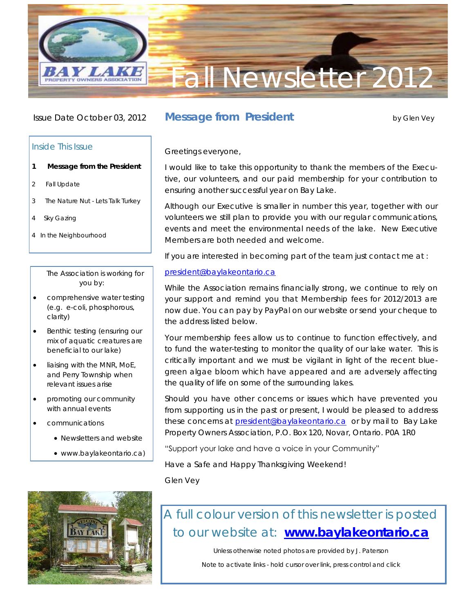

### Issue Date October 03, 2012

## Inside This Issue

- **1 Message from the President**
- 2 Fall Update
- 3 The Nature Nut Lets Talk Turkey
- 4 Sky Gazing
- 4 In the Neighbourhood

### The Association is working for you by:

- comprehensive water testing (e.g. e-coli, phosphorous, clarity)
- Benthic testing (ensuring our mix of aquatic creatures are beneficial to our lake)
- **.** liaising with the MNR, MoE, and Perry Township when relevant issues arise
- promoting our community with annual events
- communications
	- Newsletters and website
	- [www.baylakeontario.ca\)](http://www.baylakeontario.ca)



# **Message from President by Glen Vey**

### Greetings everyone,

I would like to take this opportunity to thank the members of the Executive, our volunteers, and our paid membership for your contribution to ensuring another successful year on Bay Lake.

Although our Executive is smaller in number this year, together with our volunteers we still plan to provide you with our regular communications, events and meet the environmental needs of the lake. New Executive Members are both needed and welcome.

If you are interested in becoming part of the team just contact me at :

### [president@baylakeontario.ca](mailto:president@baylakeontario.ca)

While the Association remains financially strong, we continue to rely on your support and remind you that Membership fees for 2012/2013 are now due. You can pay by PayPal on our website or send your cheque to the address listed below.

Your membership fees allow us to continue to function effectively, and to fund the water-testing to monitor the quality of our lake water. This is critically important and we must be vigilant in light of the recent bluegreen algae bloom which have appeared and are adversely affecting the quality of life on some of the surrounding lakes.

Should you have other concerns or issues which have prevented you from supporting us in the past or present, I would be pleased to address these concerns at [president@baylakeontario.ca](mailto:president@baylakeontario.ca) or by mail to Bay Lake Property Owners Association, P.O. Box 120, Novar, Ontario. P0A 1R0

### "Support your lake and have a voice in your Community"

Have a Safe and Happy Thanksgiving Weekend!

Glen Vey

# A full colour version of this newsletter is posted to our website at: **[www.baylakeontario.ca](http://www.baylakeontario.ca)**

Unless otherwise noted photos are provided by J. Paterson

Note to activate links - hold cursor over link, press control and click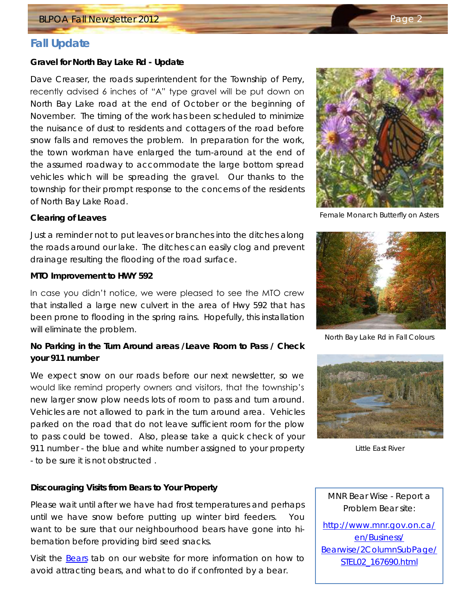# **Fall Update**

**Gravel for North Bay Lake Rd - Update**

Dave Creaser, the roads superintendent for the Township of Perry, recently advised 6 inches of "A" type gravel will be put down on North Bay Lake road at the end of October or the beginning of November. The timing of the work has been scheduled to minimize the nuisance of dust to residents and cottagers of the road before snow falls and removes the problem. In preparation for the work, the town workman have enlarged the turn-around at the end of the assumed roadway to accommodate the large bottom spread vehicles which will be spreading the gravel. Our thanks to the township for their prompt response to the concerns of the residents of North Bay Lake Road.

### **Clearing of Leaves**

Just a reminder not to put leaves or branches into the ditches along the roads around our lake. The ditches can easily clog and prevent drainage resulting the flooding of the road surface.

**MTO Improvement to HWY 592**

In case you didn't notice, we were pleased to see the MTO crew that installed a large new culvert in the area of Hwy 592 that has been prone to flooding in the spring rains. Hopefully, this installation will eliminate the problem.

**No Parking in the Turn Around areas /Leave Room to Pass / Check your 911 number**

We expect snow on our roads before our next newsletter, so we would like remind property owners and visitors, that the township's new larger snow plow needs lots of room to pass and turn around. Vehicles are not allowed to park in the turn around area. Vehicles parked on the road that do not leave sufficient room for the plow to pass could be towed. Also, please take a quick check of your 911 number - the blue and white number assigned to your property - to be sure it is not obstructed .

### **Discouraging Visits from Bears to Your Property**

Please wait until after we have had frost temperatures and perhaps until we have snow before putting up winter bird feeders. You want to be sure that our neighbourhood bears have gone into hibernation before providing bird seed snacks.

Visit the [Bears](http://baylakeontario.ca/?page_id=1193) tab on our website for more information on how to avoid attracting bears, and what to do if confronted by a bear.



Female Monarch Butterfly on Asters



North Bay Lake Rd in Fall Colours



Little East River

MNR Bear Wise - Report a Problem Bear site:

[http://www.mnr.gov.on.ca/](http://www.mnr.gov.on.ca/en/Business/Bearwise/2ColumnSubPage/STEL02_167690.html) [en/Business/](http://www.mnr.gov.on.ca/en/Business/Bearwise/2ColumnSubPage/STEL02_167690.html) [Bearwise/2ColumnSubPage/](http://www.mnr.gov.on.ca/en/Business/Bearwise/2ColumnSubPage/STEL02_167690.html) [STEL02\\_167690.html](http://www.mnr.gov.on.ca/en/Business/Bearwise/2ColumnSubPage/STEL02_167690.html)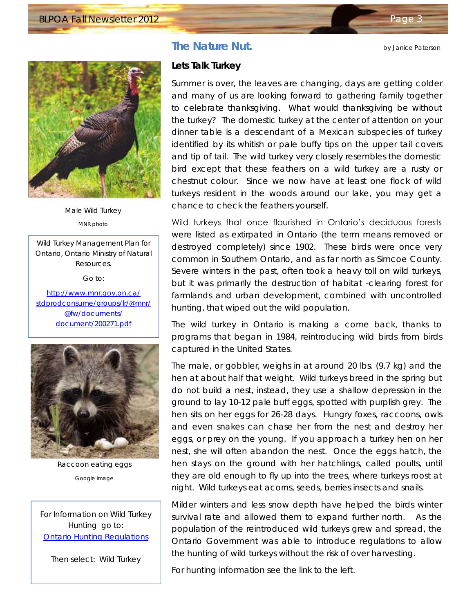**The Nature Nut. by Janice Paterson** 



Male Wild Turkey MNR photo

Wild Turkey Management Plan for Ontario, Ontario Ministry of Natural Resources.

Go to:

[http://www.mnr.gov.on.ca/](http://www.mnr.gov.on.ca/stdprodconsume/groups/lr/@mnr/@fw/documents/document/200271.pdf) [stdprodconsume/groups/lr/@mnr/](http://www.mnr.gov.on.ca/stdprodconsume/groups/lr/@mnr/@fw/documents/document/200271.pdf) [@fw/documents/](http://www.mnr.gov.on.ca/stdprodconsume/groups/lr/@mnr/@fw/documents/document/200271.pdf) [document/200271.pdf](http://www.mnr.gov.on.ca/stdprodconsume/groups/lr/@mnr/@fw/documents/document/200271.pdf)



Raccoon eating eggs Google image

For Information on Wild Turkey Hunting go to: [Ontario Hunting Regulations](http://www.mnr.gov.on.ca/en/Business/FW/Publication/MNR_E001275P.html)

Then select: Wild Turkey

### **Lets Talk Turkey**

Summer is over, the leaves are changing, days are getting colder and many of us are looking forward to gathering family together to celebrate thanksgiving. What would thanksgiving be without the turkey? The domestic turkey at the center of attention on your dinner table is a descendant of a Mexican subspecies of turkey identified by its whitish or pale buffy tips on the upper tail covers and tip of tail. The wild turkey very closely resembles the domestic bird except that these feathers on a wild turkey are a rusty or chestnut colour. Since we now have at least one flock of wild turkeys resident in the woods around our lake, you may get a chance to check the feathers yourself.

Wild turkeys that once flourished in Ontario's deciduous forests were listed as extirpated in Ontario (the term means removed or destroyed completely) since 1902. These birds were once very common in Southern Ontario, and as far north as Simcoe County. Severe winters in the past, often took a heavy toll on wild turkeys, but it was primarily the destruction of habitat -clearing forest for farmlands and urban development, combined with uncontrolled hunting, that wiped out the wild population.

The wild turkey in Ontario is making a come back, thanks to programs that began in 1984, reintroducing wild birds from birds captured in the United States.

The male, or gobbler, weighs in at around 20 lbs. (9.7 kg) and the hen at about half that weight. Wild turkeys breed in the spring but do not build a nest, instead, they use a shallow depression in the ground to lay 10-12 pale buff eggs, spotted with purplish grey. The hen sits on her eggs for 26-28 days. Hungry foxes, raccoons, owls and even snakes can chase her from the nest and destroy her eggs, or prey on the young. If you approach a turkey hen on her nest, she will often abandon the nest. Once the eggs hatch, the hen stays on the ground with her hatchlings, called poults, until they are old enough to fly up into the trees, where turkeys roost at night. Wild turkeys eat acorns, seeds, berries insects and snails.

Milder winters and less snow depth have helped the birds winter survival rate and allowed them to expand further north. As the population of the reintroduced wild turkeys grew and spread, the Ontario Government was able to introduce regulations to allow the hunting of wild turkeys without the risk of over harvesting.

For hunting information see the link to the left.